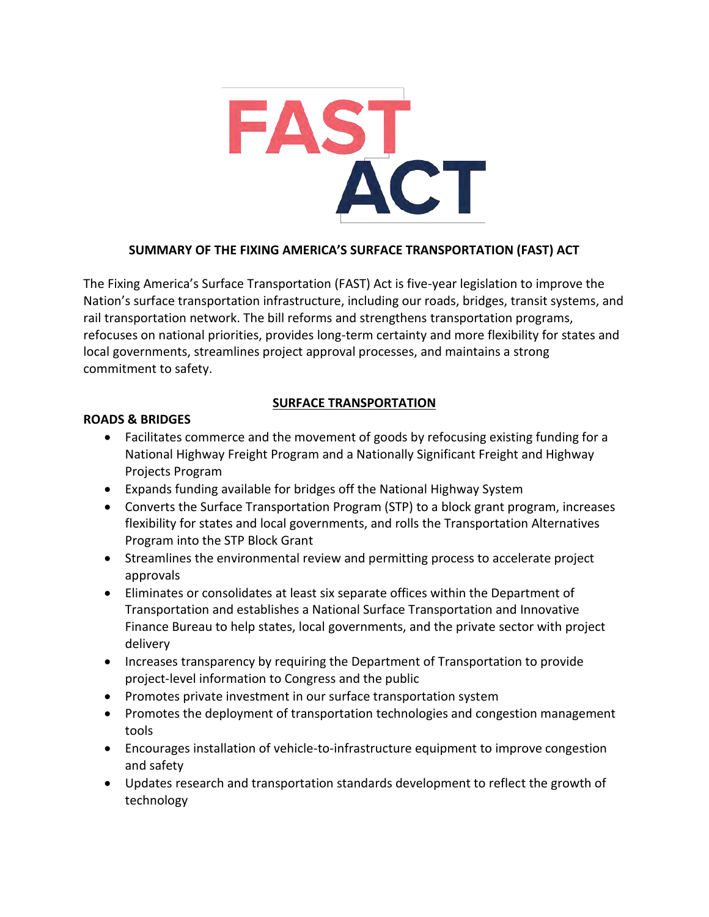

### **SUMMARY OF THE FIXING AMERICA'S SURFACE TRANSPORTATION (FAST) ACT**

The Fixing America's Surface Transportation (FAST) Act is five-year legislation to improve the Nation's surface transportation infrastructure, including our roads, bridges, transit systems, and rail transportation network. The bill reforms and strengthens transportation programs, refocuses on national priorities, provides long-term certainty and more flexibility for states and local governments, streamlines project approval processes, and maintains a strong commitment to safety.

### **SURFACE TRANSPORTATION**

### **ROADS & BRIDGES**

- Facilitates commerce and the movement of goods by refocusing existing funding for a National Highway Freight Program and a Nationally Significant Freight and Highway Projects Program
- Expands funding available for bridges off the National Highway System
- Converts the Surface Transportation Program (STP) to a block grant program, increases flexibility for states and local governments, and rolls the Transportation Alternatives Program into the STP Block Grant
- Streamlines the environmental review and permitting process to accelerate project approvals
- Eliminates or consolidates at least six separate offices within the Department of Transportation and establishes a National Surface Transportation and Innovative Finance Bureau to help states, local governments, and the private sector with project delivery
- Increases transparency by requiring the Department of Transportation to provide project-level information to Congress and the public
- Promotes private investment in our surface transportation system
- Promotes the deployment of transportation technologies and congestion management tools
- Encourages installation of vehicle-to-infrastructure equipment to improve congestion and safety
- Updates research and transportation standards development to reflect the growth of technology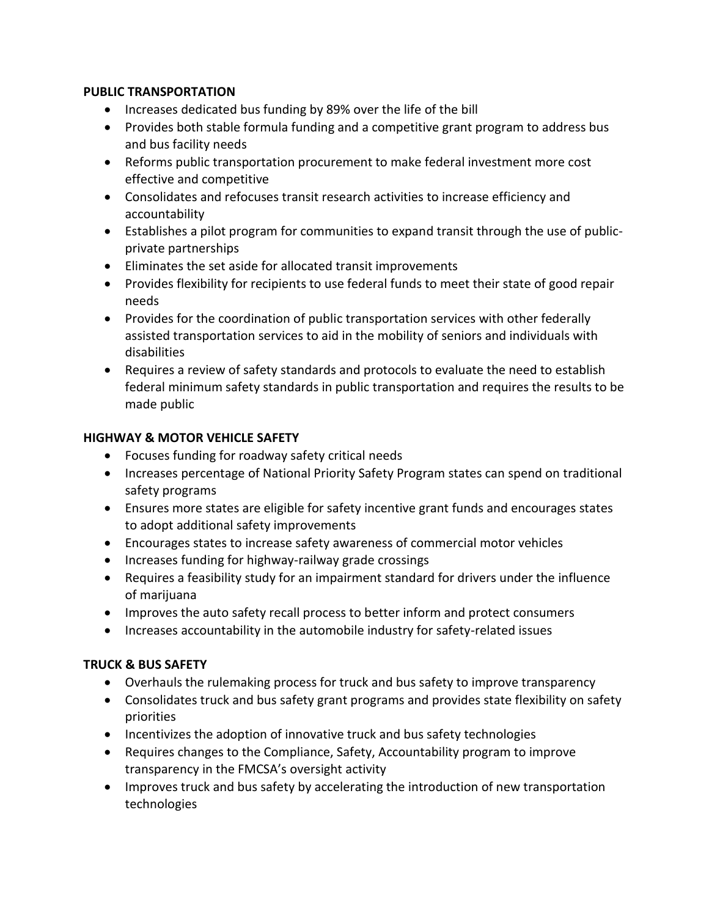#### **PUBLIC TRANSPORTATION**

- Increases dedicated bus funding by 89% over the life of the bill
- Provides both stable formula funding and a competitive grant program to address bus and bus facility needs
- Reforms public transportation procurement to make federal investment more cost effective and competitive
- Consolidates and refocuses transit research activities to increase efficiency and accountability
- Establishes a pilot program for communities to expand transit through the use of publicprivate partnerships
- Eliminates the set aside for allocated transit improvements
- Provides flexibility for recipients to use federal funds to meet their state of good repair needs
- Provides for the coordination of public transportation services with other federally assisted transportation services to aid in the mobility of seniors and individuals with disabilities
- Requires a review of safety standards and protocols to evaluate the need to establish federal minimum safety standards in public transportation and requires the results to be made public

### **HIGHWAY & MOTOR VEHICLE SAFETY**

- Focuses funding for roadway safety critical needs
- Increases percentage of National Priority Safety Program states can spend on traditional safety programs
- Ensures more states are eligible for safety incentive grant funds and encourages states to adopt additional safety improvements
- Encourages states to increase safety awareness of commercial motor vehicles
- Increases funding for highway-railway grade crossings
- Requires a feasibility study for an impairment standard for drivers under the influence of marijuana
- Improves the auto safety recall process to better inform and protect consumers
- Increases accountability in the automobile industry for safety-related issues

### **TRUCK & BUS SAFETY**

- Overhauls the rulemaking process for truck and bus safety to improve transparency
- Consolidates truck and bus safety grant programs and provides state flexibility on safety priorities
- Incentivizes the adoption of innovative truck and bus safety technologies
- Requires changes to the Compliance, Safety, Accountability program to improve transparency in the FMCSA's oversight activity
- Improves truck and bus safety by accelerating the introduction of new transportation technologies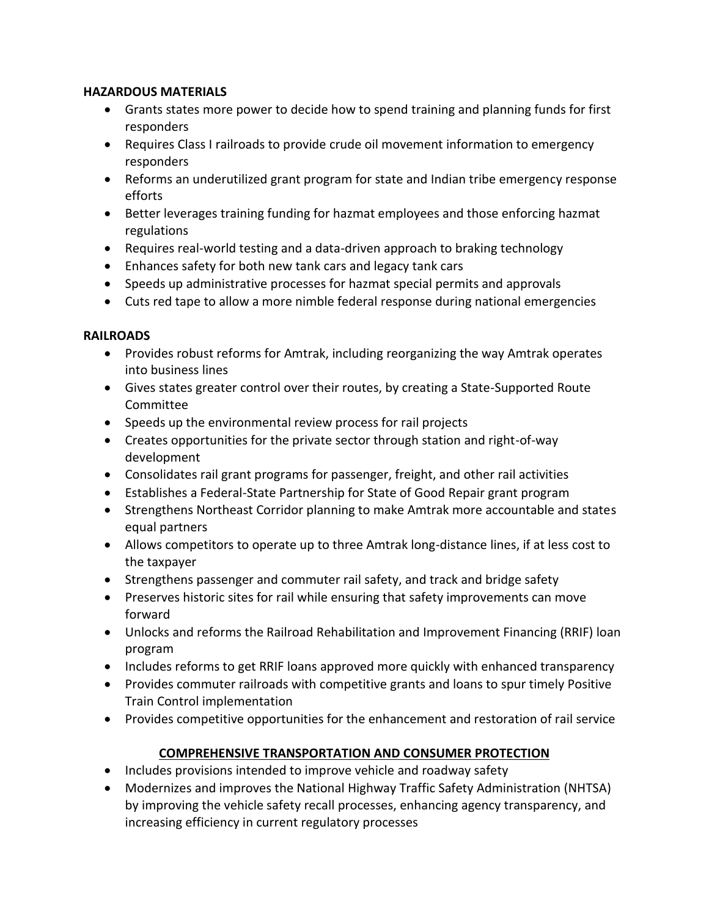#### **HAZARDOUS MATERIALS**

- Grants states more power to decide how to spend training and planning funds for first responders
- Requires Class I railroads to provide crude oil movement information to emergency responders
- Reforms an underutilized grant program for state and Indian tribe emergency response efforts
- Better leverages training funding for hazmat employees and those enforcing hazmat regulations
- Requires real-world testing and a data-driven approach to braking technology
- Enhances safety for both new tank cars and legacy tank cars
- Speeds up administrative processes for hazmat special permits and approvals
- Cuts red tape to allow a more nimble federal response during national emergencies

#### **RAILROADS**

- Provides robust reforms for Amtrak, including reorganizing the way Amtrak operates into business lines
- Gives states greater control over their routes, by creating a State-Supported Route Committee
- Speeds up the environmental review process for rail projects
- Creates opportunities for the private sector through station and right-of-way development
- Consolidates rail grant programs for passenger, freight, and other rail activities
- Establishes a Federal-State Partnership for State of Good Repair grant program
- Strengthens Northeast Corridor planning to make Amtrak more accountable and states equal partners
- Allows competitors to operate up to three Amtrak long-distance lines, if at less cost to the taxpayer
- Strengthens passenger and commuter rail safety, and track and bridge safety
- Preserves historic sites for rail while ensuring that safety improvements can move forward
- Unlocks and reforms the Railroad Rehabilitation and Improvement Financing (RRIF) loan program
- Includes reforms to get RRIF loans approved more quickly with enhanced transparency
- Provides commuter railroads with competitive grants and loans to spur timely Positive Train Control implementation
- Provides competitive opportunities for the enhancement and restoration of rail service

### **COMPREHENSIVE TRANSPORTATION AND CONSUMER PROTECTION**

- Includes provisions intended to improve vehicle and roadway safety
- Modernizes and improves the National Highway Traffic Safety Administration (NHTSA) by improving the vehicle safety recall processes, enhancing agency transparency, and increasing efficiency in current regulatory processes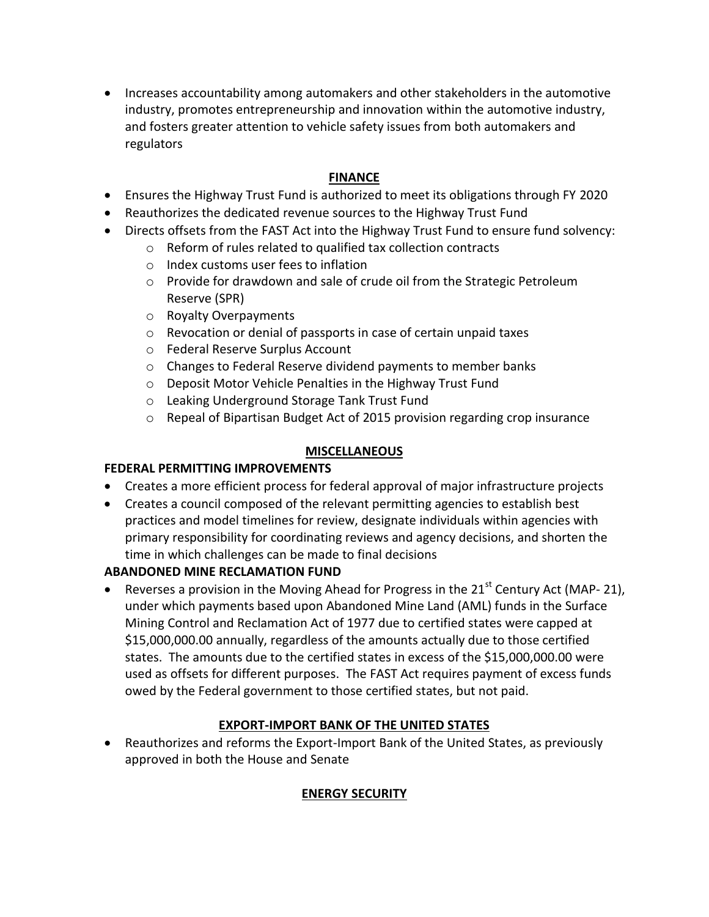Increases accountability among automakers and other stakeholders in the automotive industry, promotes entrepreneurship and innovation within the automotive industry, and fosters greater attention to vehicle safety issues from both automakers and regulators

## **FINANCE**

- Ensures the Highway Trust Fund is authorized to meet its obligations through FY 2020
- Reauthorizes the dedicated revenue sources to the Highway Trust Fund
- Directs offsets from the FAST Act into the Highway Trust Fund to ensure fund solvency:
	- o Reform of rules related to qualified tax collection contracts
	- o Index customs user fees to inflation
	- o Provide for drawdown and sale of crude oil from the Strategic Petroleum Reserve (SPR)
	- o Royalty Overpayments
	- o Revocation or denial of passports in case of certain unpaid taxes
	- o Federal Reserve Surplus Account
	- o Changes to Federal Reserve dividend payments to member banks
	- o Deposit Motor Vehicle Penalties in the Highway Trust Fund
	- o Leaking Underground Storage Tank Trust Fund
	- $\circ$  Repeal of Bipartisan Budget Act of 2015 provision regarding crop insurance

### **MISCELLANEOUS**

### **FEDERAL PERMITTING IMPROVEMENTS**

- Creates a more efficient process for federal approval of major infrastructure projects
- Creates a council composed of the relevant permitting agencies to establish best practices and model timelines for review, designate individuals within agencies with primary responsibility for coordinating reviews and agency decisions, and shorten the time in which challenges can be made to final decisions

# **ABANDONED MINE RECLAMATION FUND**

Reverses a provision in the Moving Ahead for Progress in the  $21<sup>st</sup>$  Century Act (MAP- 21), under which payments based upon Abandoned Mine Land (AML) funds in the Surface Mining Control and Reclamation Act of 1977 due to certified states were capped at \$15,000,000.00 annually, regardless of the amounts actually due to those certified states. The amounts due to the certified states in excess of the \$15,000,000.00 were used as offsets for different purposes. The FAST Act requires payment of excess funds owed by the Federal government to those certified states, but not paid.

# **EXPORT-IMPORT BANK OF THE UNITED STATES**

 Reauthorizes and reforms the Export-Import Bank of the United States, as previously approved in both the House and Senate

# **ENERGY SECURITY**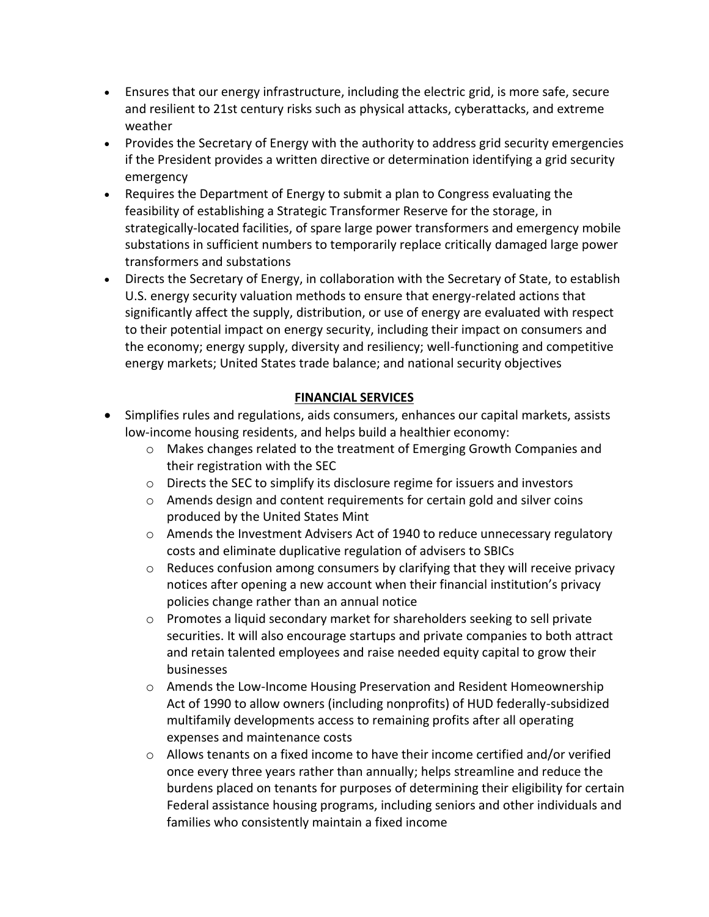- Ensures that our energy infrastructure, including the electric grid, is more safe, secure and resilient to 21st century risks such as physical attacks, cyberattacks, and extreme weather
- Provides the Secretary of Energy with the authority to address grid security emergencies if the President provides a written directive or determination identifying a grid security emergency
- Requires the Department of Energy to submit a plan to Congress evaluating the feasibility of establishing a Strategic Transformer Reserve for the storage, in strategically-located facilities, of spare large power transformers and emergency mobile substations in sufficient numbers to temporarily replace critically damaged large power transformers and substations
- Directs the Secretary of Energy, in collaboration with the Secretary of State, to establish U.S. energy security valuation methods to ensure that energy-related actions that significantly affect the supply, distribution, or use of energy are evaluated with respect to their potential impact on energy security, including their impact on consumers and the economy; energy supply, diversity and resiliency; well-functioning and competitive energy markets; United States trade balance; and national security objectives

### **FINANCIAL SERVICES**

- Simplifies rules and regulations, aids consumers, enhances our capital markets, assists low-income housing residents, and helps build a healthier economy:
	- o Makes changes related to the treatment of Emerging Growth Companies and their registration with the SEC
	- o Directs the SEC to simplify its disclosure regime for issuers and investors
	- $\circ$  Amends design and content requirements for certain gold and silver coins produced by the United States Mint
	- $\circ$  Amends the Investment Advisers Act of 1940 to reduce unnecessary regulatory costs and eliminate duplicative regulation of advisers to SBICs
	- $\circ$  Reduces confusion among consumers by clarifying that they will receive privacy notices after opening a new account when their financial institution's privacy policies change rather than an annual notice
	- $\circ$  Promotes a liquid secondary market for shareholders seeking to sell private securities. It will also encourage startups and private companies to both attract and retain talented employees and raise needed equity capital to grow their businesses
	- o Amends the Low-Income Housing Preservation and Resident Homeownership Act of 1990 to allow owners (including nonprofits) of HUD federally-subsidized multifamily developments access to remaining profits after all operating expenses and maintenance costs
	- $\circ$  Allows tenants on a fixed income to have their income certified and/or verified once every three years rather than annually; helps streamline and reduce the burdens placed on tenants for purposes of determining their eligibility for certain Federal assistance housing programs, including seniors and other individuals and families who consistently maintain a fixed income